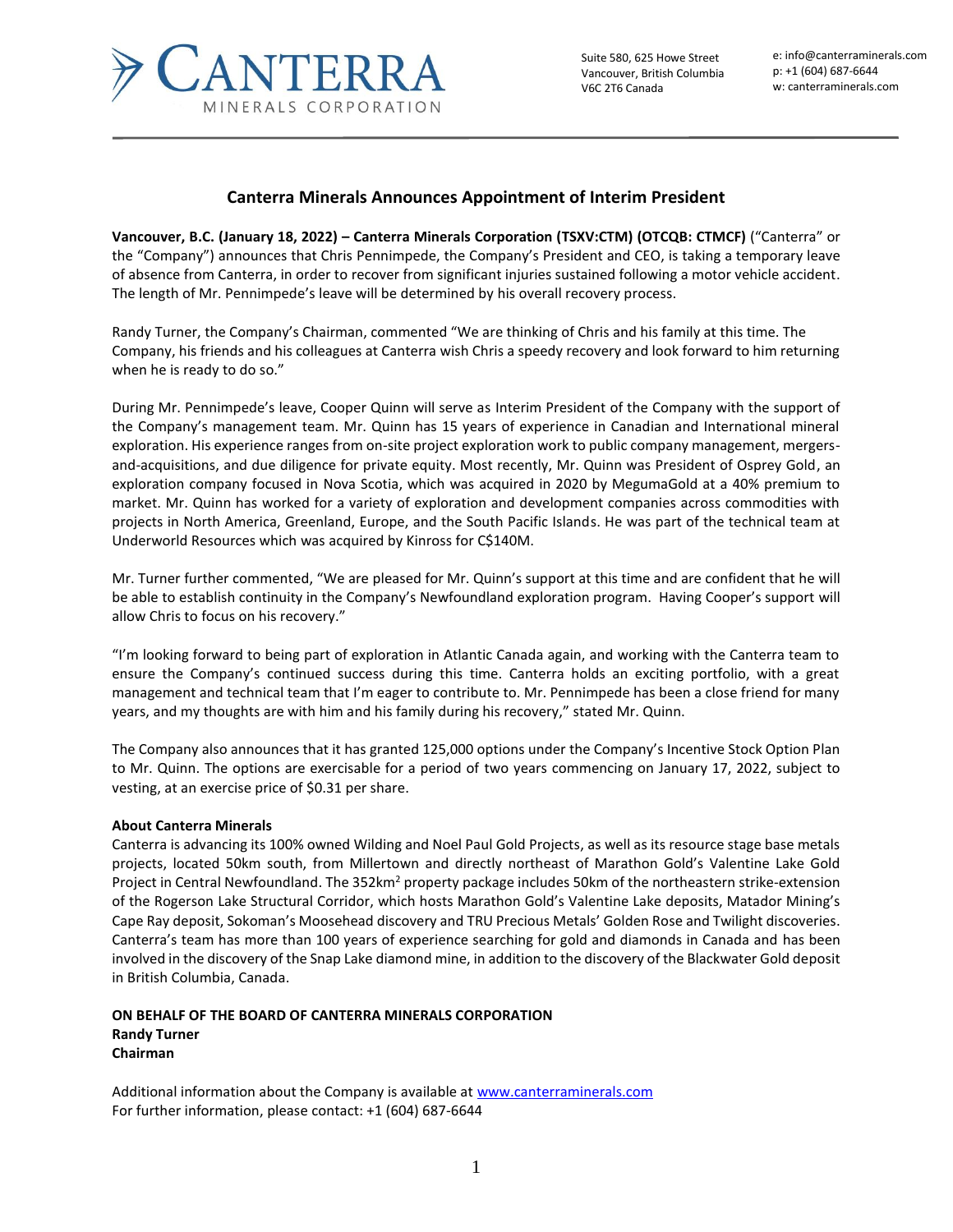

Suite 580, 625 Howe Street Vancouver, British Columbia V6C 2T6 Canada

e: info@canterraminerals.com p: +1 (604) 687-6644 w: canterraminerals.com

## **Canterra Minerals Announces Appointment of Interim President**

**Vancouver, B.C. (January 18, 2022) – Canterra Minerals Corporation (TSXV:CTM) (OTCQB: CTMCF)** ("Canterra" or the "Company") announces that Chris Pennimpede, the Company's President and CEO, is taking a temporary leave of absence from Canterra, in order to recover from significant injuries sustained following a motor vehicle accident. The length of Mr. Pennimpede's leave will be determined by his overall recovery process.

Randy Turner, the Company's Chairman, commented "We are thinking of Chris and his family at this time. The Company, his friends and his colleagues at Canterra wish Chris a speedy recovery and look forward to him returning when he is ready to do so."

During Mr. Pennimpede's leave, Cooper Quinn will serve as Interim President of the Company with the support of the Company's management team. Mr. Quinn has 15 years of experience in Canadian and International mineral exploration. His experience ranges from on-site project exploration work to public company management, mergersand-acquisitions, and due diligence for private equity. Most recently, Mr. Quinn was President of Osprey Gold, an exploration company focused in Nova Scotia, which was acquired in 2020 by MegumaGold at a 40% premium to market. Mr. Quinn has worked for a variety of exploration and development companies across commodities with projects in North America, Greenland, Europe, and the South Pacific Islands. He was part of the technical team at Underworld Resources which was acquired by Kinross for C\$140M.

Mr. Turner further commented, "We are pleased for Mr. Quinn's support at this time and are confident that he will be able to establish continuity in the Company's Newfoundland exploration program. Having Cooper's support will allow Chris to focus on his recovery."

"I'm looking forward to being part of exploration in Atlantic Canada again, and working with the Canterra team to ensure the Company's continued success during this time. Canterra holds an exciting portfolio, with a great management and technical team that I'm eager to contribute to. Mr. Pennimpede has been a close friend for many years, and my thoughts are with him and his family during his recovery," stated Mr. Quinn.

The Company also announces that it has granted 125,000 options under the Company's Incentive Stock Option Plan to Mr. Quinn. The options are exercisable for a period of two years commencing on January 17, 2022, subject to vesting, at an exercise price of \$0.31 per share.

## **About Canterra Minerals**

Canterra is advancing its 100% owned Wilding and Noel Paul Gold Projects, as well as its resource stage base metals projects, located 50km south, from Millertown and directly northeast of Marathon Gold's Valentine Lake Gold Project in Central Newfoundland. The 352km<sup>2</sup> property package includes 50km of the northeastern strike-extension of the Rogerson Lake Structural Corridor, which hosts Marathon Gold's Valentine Lake deposits, Matador Mining's Cape Ray deposit, Sokoman's Moosehead discovery and TRU Precious Metals' Golden Rose and Twilight discoveries. Canterra's team has more than 100 years of experience searching for gold and diamonds in Canada and has been involved in the discovery of the Snap Lake diamond mine, in addition to the discovery of the Blackwater Gold deposit in British Columbia, Canada.

## **ON BEHALF OF THE BOARD OF CANTERRA MINERALS CORPORATION Randy Turner Chairman**

Additional information about the Company is available a[t www.canterraminerals.com](http://www.canterraminerals.com/s/Home.asp) For further information, please contact: +1 (604) 687-6644